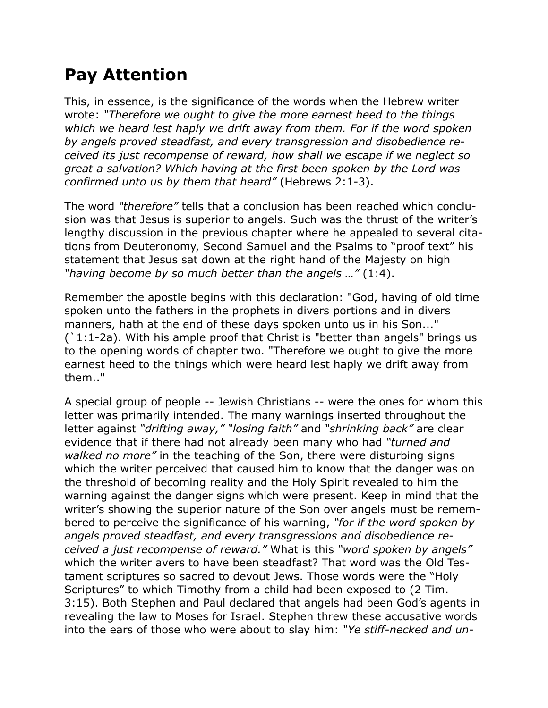## **Pay Attention**

This, in essence, is the significance of the words when the Hebrew writer wrote: *"Therefore we ought to give the more earnest heed to the things which we heard lest haply we drift away from them. For if the word spoken by angels proved steadfast, and every transgression and disobedience received its just recompense of reward, how shall we escape if we neglect so great a salvation? Which having at the first been spoken by the Lord was confirmed unto us by them that heard"* (Hebrews 2:1-3).

The word *"therefore"* tells that a conclusion has been reached which conclusion was that Jesus is superior to angels. Such was the thrust of the writer's lengthy discussion in the previous chapter where he appealed to several citations from Deuteronomy, Second Samuel and the Psalms to "proof text" his statement that Jesus sat down at the right hand of the Majesty on high *"having become by so much better than the angels …"* (1:4).

Remember the apostle begins with this declaration: "God, having of old time spoken unto the fathers in the prophets in divers portions and in divers manners, hath at the end of these days spoken unto us in his Son..." (`1:1-2a). With his ample proof that Christ is "better than angels" brings us to the opening words of chapter two. "Therefore we ought to give the more earnest heed to the things which were heard lest haply we drift away from them.."

A special group of people -- Jewish Christians -- were the ones for whom this letter was primarily intended. The many warnings inserted throughout the letter against *"drifting away," "losing faith"* and *"shrinking back"* are clear evidence that if there had not already been many who had *"turned and walked no more"* in the teaching of the Son, there were disturbing signs which the writer perceived that caused him to know that the danger was on the threshold of becoming reality and the Holy Spirit revealed to him the warning against the danger signs which were present. Keep in mind that the writer's showing the superior nature of the Son over angels must be remembered to perceive the significance of his warning, *"for if the word spoken by angels proved steadfast, and every transgressions and disobedience received a just recompense of reward."* What is this *"word spoken by angels"* which the writer avers to have been steadfast? That word was the Old Testament scriptures so sacred to devout Jews. Those words were the "Holy Scriptures" to which Timothy from a child had been exposed to (2 Tim. 3:15). Both Stephen and Paul declared that angels had been God's agents in revealing the law to Moses for Israel. Stephen threw these accusative words into the ears of those who were about to slay him: *"Ye stiff-necked and un-*